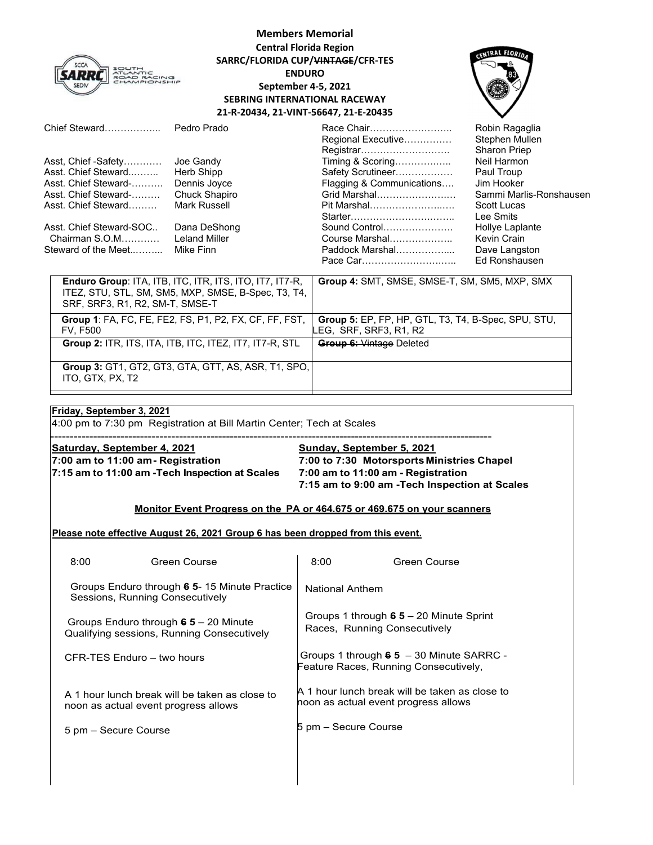

# **Members Memorial Central Florida Region SARRC/FLORIDA CUP/VINTAGE/CFR‐TES ENDURO September 4‐5, 2021 SEBRING INTERNATIONAL RACEWAY 21‐R‐20434, 21‐VINT‐56647, 21‐E‐20435**



| Chief Steward                                                                  | Pedro Prado                                                                                                           | Race Chair<br>Regional Executive<br>Registrar                                 | Robin Ragaglia<br>Stephen Mullen<br><b>Sharon Priep</b> |
|--------------------------------------------------------------------------------|-----------------------------------------------------------------------------------------------------------------------|-------------------------------------------------------------------------------|---------------------------------------------------------|
| Asst, Chief -Safety                                                            | Joe Gandy                                                                                                             | Timing & Scoring                                                              | Neil Harmon                                             |
| Asst. Chief Steward                                                            | Herb Shipp                                                                                                            | Safety Scrutineer                                                             | Paul Troup                                              |
| Asst. Chief Steward-                                                           | Dennis Joyce                                                                                                          | Flagging & Communications                                                     | Jim Hooker                                              |
| Asst. Chief Steward-                                                           | Chuck Shapiro                                                                                                         | Grid Marshal                                                                  | Sammi Marlis-Ronshausen                                 |
| Asst. Chief Steward                                                            | Mark Russell                                                                                                          | Pit Marshal                                                                   | Scott Lucas                                             |
|                                                                                |                                                                                                                       |                                                                               | Lee Smits                                               |
| Asst. Chief Steward-SOC                                                        | Dana DeShong                                                                                                          | Sound Control                                                                 | Hollye Laplante                                         |
| Chairman S.O.M                                                                 | <b>Leland Miller</b>                                                                                                  | Course Marshal                                                                | Kevin Crain                                             |
| Steward of the Meet                                                            | Mike Finn                                                                                                             | Paddock Marshal                                                               | Dave Langston                                           |
|                                                                                |                                                                                                                       |                                                                               | Ed Ronshausen                                           |
| SRF, SRF3, R1, R2, SM-T, SMSE-T                                                | <b>Enduro Group: ITA, ITB, ITC, ITR, ITS, ITO, IT7, IT7-R,</b><br>ITEZ, STU, STL, SM, SM5, MXP, SMSE, B-Spec, T3, T4, | Group 4: SMT, SMSE, SMSE-T, SM, SM5, MXP, SMX                                 |                                                         |
| Group 1: FA, FC, FE, FE2, FS, P1, P2, FX, CF, FF, FST,<br><b>FV, F500</b>      |                                                                                                                       | Group 5: EP, FP, HP, GTL, T3, T4, B-Spec, SPU, STU,<br>LEG, SRF, SRF3, R1, R2 |                                                         |
| <b>Group 2: ITR, ITS, ITA, ITB, ITC, ITEZ, IT7, IT7-R, STL</b>                 |                                                                                                                       | <b>Group 6: Vintage Deleted</b>                                               |                                                         |
| <b>Group 3: GT1, GT2, GT3, GTA, GTT, AS, ASR, T1, SPO,</b><br>ITO, GTX, PX, T2 |                                                                                                                       |                                                                               |                                                         |

### **Friday, September 3, 2021**

ľ

4:00 pm to 7:30 pm Registration at Bill Martin Center; Tech at Scales

**Saturday, September 4, 2021** Sunday, September 5, 2021 **7:15 am to 11:00 am -Tech Inspection at Scales 7:00 am to 11:00 am - Registration**

**7:00 am to 11:00 am - Registration 7:00 to 7:30 Motorsports Ministries Chapel 7:15 am to 9:00 am -Tech Inspection at Scales** 

### **Monitor Event Progress on the PA or 464.675 or 469.675 on your scanners**

-----------------------------------------------------------------------------------------------------------------

#### **Please note effective August 26, 2021 Group 6 has been dropped from this event.**

| 8:00                                                                                 | Green Course                                                                           | 8:00                                                                               | Green Course                                   |
|--------------------------------------------------------------------------------------|----------------------------------------------------------------------------------------|------------------------------------------------------------------------------------|------------------------------------------------|
| Groups Enduro through 6 5-15 Minute Practice<br>Sessions, Running Consecutively      |                                                                                        | National Anthem                                                                    |                                                |
| Groups Enduro through $65 - 20$ Minute<br>Qualifying sessions, Running Consecutively |                                                                                        | Groups 1 through $65 - 20$ Minute Sprint<br>Races, Running Consecutively           |                                                |
| CFR-TFS Fnduro – two hours                                                           |                                                                                        | Groups 1 through $65 - 30$ Minute SARRC -<br>Feature Races, Running Consecutively, |                                                |
|                                                                                      | A 1 hour lunch break will be taken as close to<br>noon as actual event progress allows | noon as actual event progress allows                                               | A 1 hour lunch break will be taken as close to |
| 5 pm – Secure Course                                                                 |                                                                                        | 5 pm – Secure Course                                                               |                                                |
|                                                                                      |                                                                                        |                                                                                    |                                                |
|                                                                                      |                                                                                        |                                                                                    |                                                |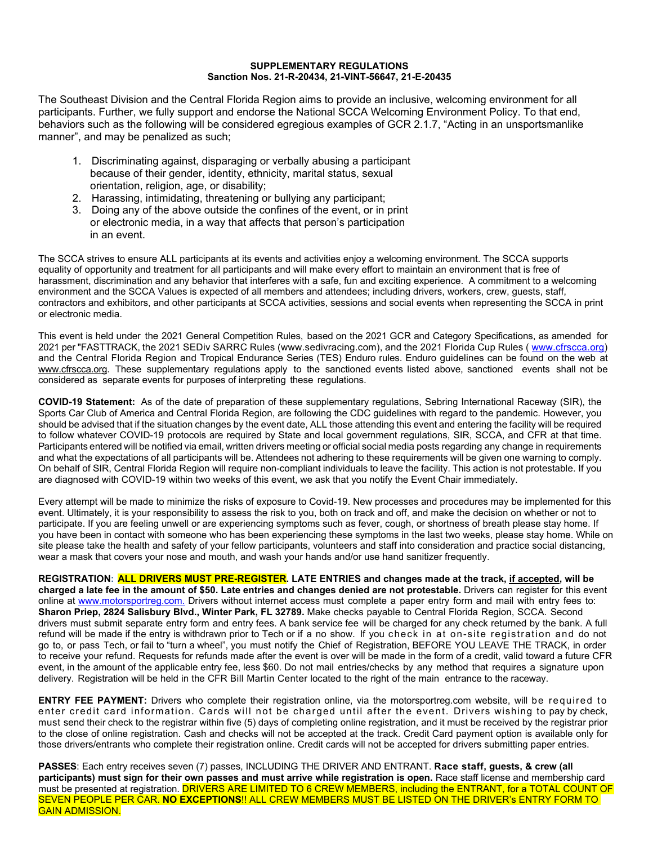#### **SUPPLEMENTARY REGULATIONS Sanction Nos. 21-R-20434, 21-VINT-56647, 21-E-20435**

The Southeast Division and the Central Florida Region aims to provide an inclusive, welcoming environment for all participants. Further, we fully support and endorse the National SCCA Welcoming Environment Policy. To that end, behaviors such as the following will be considered egregious examples of GCR 2.1.7, "Acting in an unsportsmanlike manner", and may be penalized as such;

- 1. Discriminating against, disparaging or verbally abusing a participant because of their gender, identity, ethnicity, marital status, sexual orientation, religion, age, or disability;
- 2. Harassing, intimidating, threatening or bullying any participant;
- 3. Doing any of the above outside the confines of the event, or in print or electronic media, in a way that affects that person's participation in an event.

The SCCA strives to ensure ALL participants at its events and activities enjoy a welcoming environment. The SCCA supports equality of opportunity and treatment for all participants and will make every effort to maintain an environment that is free of harassment, discrimination and any behavior that interferes with a safe, fun and exciting experience. A commitment to a welcoming environment and the SCCA Values is expected of all members and attendees; including drivers, workers, crew, guests, staff, contractors and exhibitors, and other participants at SCCA activities, sessions and social events when representing the SCCA in print or electronic media.

This event is held under the 2021 General Competition Rules, based on the 2021 GCR and Category Specifications, as amended for 2021 per "FASTTRACK, the 2021 SEDiv SARRC Rules (www.sedivracing.com), and the 2021 Florida Cup Rules (www.cfrscca.org) and the Central Florida Region and Tropical Endurance Series (TES) Enduro rules. Enduro guidelines can be found on the web at www.cfrscca.org. These supplementary regulations apply to the sanctioned events listed above, sanctioned events shall not be considered as separate events for purposes of interpreting these regulations.

**COVID-19 Statement:** As of the date of preparation of these supplementary regulations, Sebring International Raceway (SIR), the Sports Car Club of America and Central Florida Region, are following the CDC guidelines with regard to the pandemic. However, you should be advised that if the situation changes by the event date, ALL those attending this event and entering the facility will be required to follow whatever COVID-19 protocols are required by State and local government regulations, SIR, SCCA, and CFR at that time. Participants entered will be notified via email, written drivers meeting or official social media posts regarding any change in requirements and what the expectations of all participants will be. Attendees not adhering to these requirements will be given one warning to comply. On behalf of SIR, Central Florida Region will require non-compliant individuals to leave the facility. This action is not protestable. If you are diagnosed with COVID-19 within two weeks of this event, we ask that you notify the Event Chair immediately.

Every attempt will be made to minimize the risks of exposure to Covid-19. New processes and procedures may be implemented for this event. Ultimately, it is your responsibility to assess the risk to you, both on track and off, and make the decision on whether or not to participate. If you are feeling unwell or are experiencing symptoms such as fever, cough, or shortness of breath please stay home. If you have been in contact with someone who has been experiencing these symptoms in the last two weeks, please stay home. While on site please take the health and safety of your fellow participants, volunteers and staff into consideration and practice social distancing, wear a mask that covers your nose and mouth, and wash your hands and/or use hand sanitizer frequently.

**REGISTRATION: ALL DRIVERS MUST PRE-REGISTER. LATE ENTRIES and changes made at the track, if accepted, will be charged a late fee in the amount of \$50. Late entries and changes denied are not protestable.** Drivers can register for this event online at www.motorsportreg.com. Drivers without internet access must complete a paper entry form and mail with entry fees to: **Sharon Priep, 2824 Salisbury Blvd., Winter Park, FL 32789.** Make checks payable to Central Florida Region, SCCA. Second drivers must submit separate entry form and entry fees. A bank service fee will be charged for any check returned by the bank. A full refund will be made if the entry is withdrawn prior to Tech or if a no show. If you check in at on-site registration and do not go to, or pass Tech, or fail to "turn a wheel", you must notify the Chief of Registration, BEFORE YOU LEAVE THE TRACK, in order to receive your refund. Requests for refunds made after the event is over will be made in the form of a credit, valid toward a future CFR event, in the amount of the applicable entry fee, less \$60. Do not mail entries/checks by any method that requires a signature upon delivery. Registration will be held in the CFR Bill Martin Center located to the right of the main entrance to the raceway.

**ENTRY FEE PAYMENT:** Drivers who complete their registration online, via the motorsportreg.com website, will be required to enter credit card information. Cards will not be charged until after the event. Drivers wishing to pay by check, must send their check to the registrar within five (5) days of completing online registration, and it must be received by the registrar prior to the close of online registration. Cash and checks will not be accepted at the track. Credit Card payment option is available only for those drivers/entrants who complete their registration online. Credit cards will not be accepted for drivers submitting paper entries.

**PASSES**: Each entry receives seven (7) passes, INCLUDING THE DRIVER AND ENTRANT. **Race staff, guests, & crew (all participants) must sign for their own passes and must arrive while registration is open.** Race staff license and membership card must be presented at registration. DRIVERS ARE LIMITED TO 6 CREW MEMBERS, including the ENTRANT, for a TOTAL COUNT OF SEVEN PEOPLE PER CAR. **NO EXCEPTIONS**!! ALL CREW MEMBERS MUST BE LISTED ON THE DRIVER's ENTRY FORM TO GAIN ADMISSION.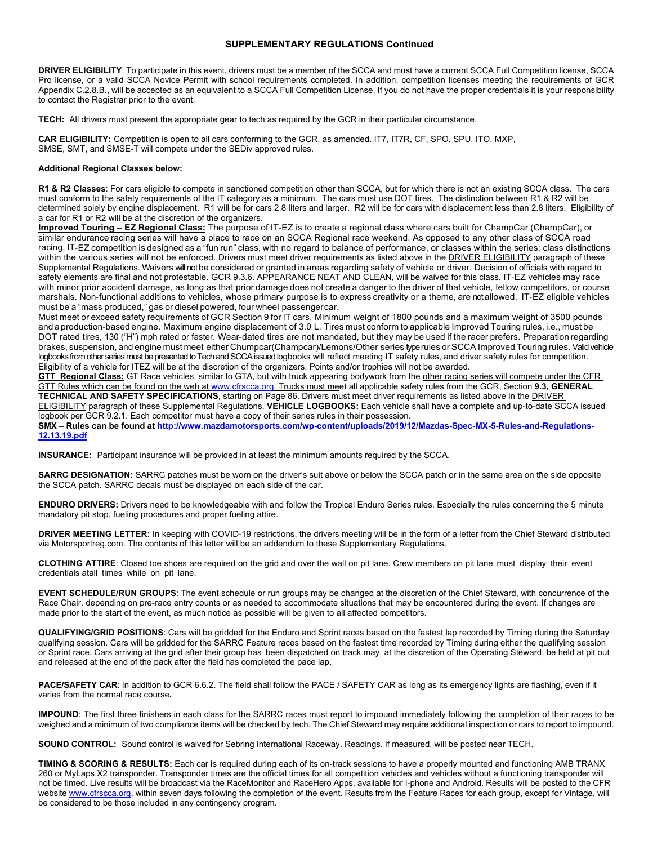#### **SUPPLEMENTARY REGULATIONS Continued**

**DRIVER ELIGIBILITY**: To participate in this event, drivers must be a member of the SCCA and must have a current SCCA Full Competition license, SCCA Pro license, or a valid SCCA Novice Permit with school requirements completed. In addition, competition licenses meeting the requirements of GCR Appendix C.2.8.B., will be accepted as an equivalent to a SCCA Full Competition License. If you do not have the proper credentials it is your responsibility to contact the Registrar prior to the event.

**TECH:** All drivers must present the appropriate gear to tech as required by the GCR in their particular circumstance.

**CAR ELIGIBILITY:** Competition is open to all cars conforming to the GCR, as amended. IT7, IT7R, CF, SPO, SPU, ITO, MXP, SMSE, SMT, and SMSE-T will compete under the SEDiv approved rules.

#### **Additional Regional Classes below:**

**R1 & R2 Classes**: For cars eligible to compete in sanctioned competition other than SCCA, but for which there is not an existing SCCA class. The cars must conform to the safety requirements of the IT category as a minimum. The cars must use DOT tires. The distinction between R1 & R2 will be determined solely by engine displacement. R1 will be for cars 2.8 liters and larger. R2 will be for cars with displacement less than 2.8 liters. Eligibility of a car for R1 or R2 will be at the discretion of the organizers.

**Improved Touring – EZ Regional Class:** The purpose of IT-EZ is to create a regional class where cars built for ChampCar (ChampCar), or similar endurance racing series will have a place to race on an SCCA Regional race weekend. As opposed to any other class of SCCA road racing, IT-EZ competition is designed as a "fun run" class, with no regard to balance of performance, or classes within the series; class distinctions within the various series will not be enforced. Drivers must meet driver requirements as listed above in the DRIVER ELIGIBILITY paragraph of these Supplemental Regulations. Waivers will not be considered or granted in areas regarding safety of vehicle or driver. Decision of officials with regard to safety elements are final and not protestable. GCR 9.3.6. APPEARANCE NEAT AND CLEAN, will be waived for this class. IT-EZ vehicles may race with minor prior accident damage, as long as that prior damage does not create a danger to the driver of that vehicle, fellow competitors, or course marshals. Non-functional additions to vehicles, whose primary purpose is to express creativity or a theme, are not allowed. IT-EZ eligible vehicles must be a "mass produced," gas or diesel powered, four wheel passengercar.

Must meet or exceed safety requirements of GCR Section 9 for IT cars. Minimum weight of 1800 pounds and a maximum weight of 3500 pounds and a production-based engine. Maximum engine displacement of 3.0 L. Tires must conform to applicable Improved Touring rules, i.e., must be DOT rated tires, 130 ("H") mph rated or faster. Wear-dated tires are not mandated, but they may be used if the racer prefers. Preparation regarding brakes, suspension, and engine must meet either Chumpcar(Champcar)/Lemons/Other series type rules or SCCA Improved Touring rules. Valid vehicle logbooks from other series must be presented to Tech and SCCA issued logbooks will reflect meeting IT safety rules, and driver safety rules for competition. Eligibility of a vehicle for ITEZ will be at the discretion of the organizers. Points and/or trophies will not be awarded.

GTT Regional Class: GT Race vehicles, similar to GTA, but with truck appearing bodywork from the other racing series will compete under the CFR GTT Rules which can be found on the web at www.cfrscca.org. Trucks must meet all applicable safety rules from the GCR, Section **9.3, GENERAL TECHNICAL AND SAFETY SPECIFICATIONS**, starting on Page 86. Drivers must meet driver requirements as listed above in the DRIVER ELIGIBILITY paragraph of these Supplemental Regulations. **VEHICLE LOGBOOKS:** Each vehicle shall have a complete and up-to-date SCCA issued logbook per GCR 9.2.1. Each competitor must have a copy of their series rules in their possession.

**SMX – Rules can be found at http://www.mazdamotorsports.com/wp-content/uploads/2019/12/Mazdas-Spec-MX-5-Rules-and-Regulations-12.13.19.pdf**

**INSURANCE:** Participant insurance will be provided in at least the minimum amounts required by the SCCA.

**SARRC DESIGNATION:** SARRC patches must be worn on the driver's suit above or below the SCCA patch or in the same area on the side opposite the SCCA patch. SARRC decals must be displayed on each side of the car.

**ENDURO DRIVERS:** Drivers need to be knowledgeable with and follow the Tropical Enduro Series rules. Especially the rules concerning the 5 minute mandatory pit stop, fueling procedures and proper fueling attire.

**DRIVER MEETING LETTER:** In keeping with COVID-19 restrictions, the drivers meeting will be in the form of a letter from the Chief Steward distributed via Motorsportreg.com. The contents of this letter will be an addendum to these Supplementary Regulations.

**CLOTHING ATTIRE**: Closed toe shoes are required on the grid and over the wall on pit lane. Crew members on pit lane must display their event credentials atall times while on pit lane.

**EVENT SCHEDULE/RUN GROUPS**: The event schedule or run groups may be changed at the discretion of the Chief Steward, with concurrence of the Race Chair, depending on pre-race entry counts or as needed to accommodate situations that may be encountered during the event. If changes are made prior to the start of the event, as much notice as possible will be given to all affected competitors.

**QUALIFYING/GRID POSITIONS**: Cars will be gridded for the Enduro and Sprint races based on the fastest lap recorded by Timing during the Saturday qualifying session. Cars will be gridded for the SARRC Feature races based on the fastest time recorded by Timing during either the qualifying session or Sprint race. Cars arriving at the grid after their group has been dispatched on track may, at the discretion of the Operating Steward, be held at pit out and released at the end of the pack after the field has completed the pace lap.

PACE/SAFETY CAR: In addition to GCR 6.6.2. The field shall follow the PACE / SAFETY CAR as long as its emergency lights are flashing, even if it varies from the normal race course**.** 

**IMPOUND**: The first three finishers in each class for the SARRC races must report to impound immediately following the completion of their races to be weighed and a minimum of two compliance items will be checked by tech. The Chief Steward may require additional inspection or cars to report to impound.

**SOUND CONTROL:** Sound control is waived for Sebring International Raceway. Readings, if measured, will be posted near TECH.

**TIMING & SCORING & RESULTS:** Each car is required during each of its on-track sessions to have a properly mounted and functioning AMB TRANX 260 or MyLaps X2 transponder. Transponder times are the official times for all competition vehicles and vehicles without a functioning transponder will not be timed. Live results will be broadcast via the RaceMonitor and RaceHero Apps, available for I-phone and Android. Results will be posted to the CFR website www.cfrscca.org, within seven days following the completion of the event. Results from the Feature Races for each group, except for Vintage, will be considered to be those included in any contingency program.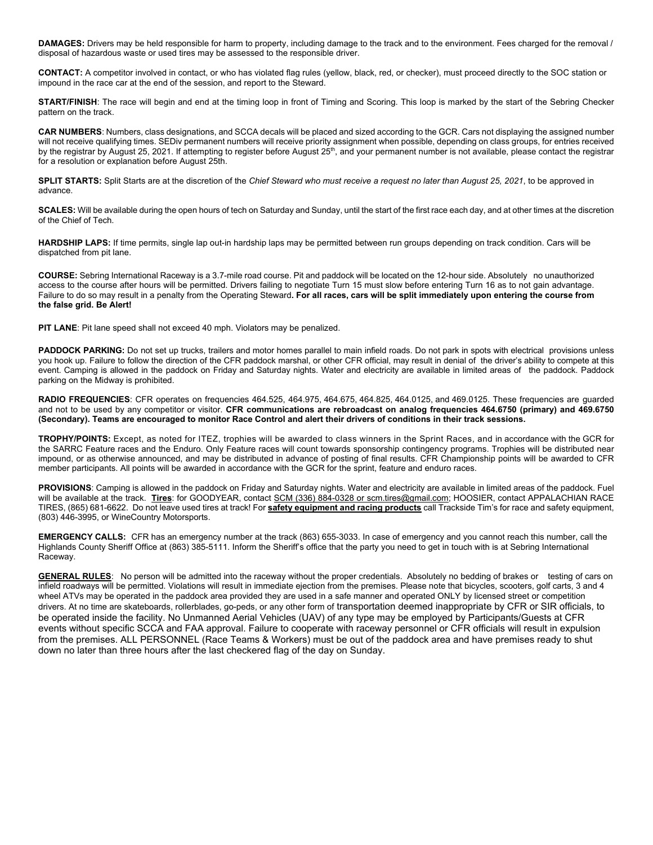**DAMAGES:** Drivers may be held responsible for harm to property, including damage to the track and to the environment. Fees charged for the removal / disposal of hazardous waste or used tires may be assessed to the responsible driver.

**CONTACT:** A competitor involved in contact, or who has violated flag rules (yellow, black, red, or checker), must proceed directly to the SOC station or impound in the race car at the end of the session, and report to the Steward.

**START/FINISH**: The race will begin and end at the timing loop in front of Timing and Scoring. This loop is marked by the start of the Sebring Checker pattern on the track.

**CAR NUMBERS**: Numbers, class designations, and SCCA decals will be placed and sized according to the GCR. Cars not displaying the assigned number will not receive qualifying times. SEDiv permanent numbers will receive priority assignment when possible, depending on class groups, for entries received by the registrar by August 25, 2021. If attempting to register before August 25<sup>th</sup>, and your permanent number is not available, please contact the registrar for a resolution or explanation before August 25th.

**SPLIT STARTS:** Split Starts are at the discretion of the *Chief Steward who must receive a request no later than August 25, 2021*, to be approved in advance.

**SCALES:** Will be available during the open hours of tech on Saturday and Sunday, until the start of the first race each day, and at other times at the discretion of the Chief of Tech.

**HARDSHIP LAPS:** If time permits, single lap out-in hardship laps may be permitted between run groups depending on track condition. Cars will be dispatched from pit lane.

**COURSE:** Sebring International Raceway is a 3.7-mile road course. Pit and paddock will be located on the 12-hour side. Absolutely no unauthorized access to the course after hours will be permitted. Drivers failing to negotiate Turn 15 must slow before entering Turn 16 as to not gain advantage. Failure to do so may result in a penalty from the Operating Steward**. For all races, cars will be split immediately upon entering the course from the false grid. Be Alert!** 

**PIT LANE**: Pit lane speed shall not exceed 40 mph. Violators may be penalized.

PADDOCK PARKING: Do not set up trucks, trailers and motor homes parallel to main infield roads. Do not park in spots with electrical provisions unless you hook up. Failure to follow the direction of the CFR paddock marshal, or other CFR official, may result in denial of the driver's ability to compete at this event. Camping is allowed in the paddock on Friday and Saturday nights. Water and electricity are available in limited areas of the paddock. Paddock parking on the Midway is prohibited.

**RADIO FREQUENCIES**: CFR operates on frequencies 464.525, 464.975, 464.675, 464.825, 464.0125, and 469.0125. These frequencies are guarded and not to be used by any competitor or visitor. **CFR communications are rebroadcast on analog frequencies 464.6750 (primary) and 469.6750 (Secondary). Teams are encouraged to monitor Race Control and alert their drivers of conditions in their track sessions.** 

**TROPHY/POINTS:** Except, as noted for ITEZ, trophies will be awarded to class winners in the Sprint Races, and in accordance with the GCR for the SARRC Feature races and the Enduro. Only Feature races will count towards sponsorship contingency programs. Trophies will be distributed near impound, or as otherwise announced, and may be distributed in advance of posting of final results. CFR Championship points will be awarded to CFR member participants. All points will be awarded in accordance with the GCR for the sprint, feature and enduro races.

PROVISIONS: Camping is allowed in the paddock on Friday and Saturday nights. Water and electricity are available in limited areas of the paddock. Fuel will be available at the track. **Tires**: for GOODYEAR, contact SCM (336) 884-0328 or scm.tires@gmail.com; HOOSIER, contact APPALACHIAN RACE TIRES, (865) 681-6622. Do not leave used tires at track! For **safety equipment and racing products** call Trackside Tim's for race and safety equipment, (803) 446-3995, or WineCountry Motorsports.

**EMERGENCY CALLS:** CFR has an emergency number at the track (863) 655-3033. In case of emergency and you cannot reach this number, call the Highlands County Sheriff Office at (863) 385-5111. Inform the Sheriff's office that the party you need to get in touch with is at Sebring International Raceway.

GENERAL RULES: No person will be admitted into the raceway without the proper credentials. Absolutely no bedding of brakes or testing of cars on infield roadways will be permitted. Violations will result in immediate ejection from the premises. Please note that bicycles, scooters, golf carts, 3 and 4 wheel ATVs may be operated in the paddock area provided they are used in a safe manner and operated ONLY by licensed street or competition drivers. At no time are skateboards, rollerblades, go-peds, or any other form of transportation deemed inappropriate by CFR or SIR officials, to be operated inside the facility. No Unmanned Aerial Vehicles (UAV) of any type may be employed by Participants/Guests at CFR events without specific SCCA and FAA approval. Failure to cooperate with raceway personnel or CFR officials will result in expulsion from the premises. ALL PERSONNEL (Race Teams & Workers) must be out of the paddock area and have premises ready to shut down no later than three hours after the last checkered flag of the day on Sunday.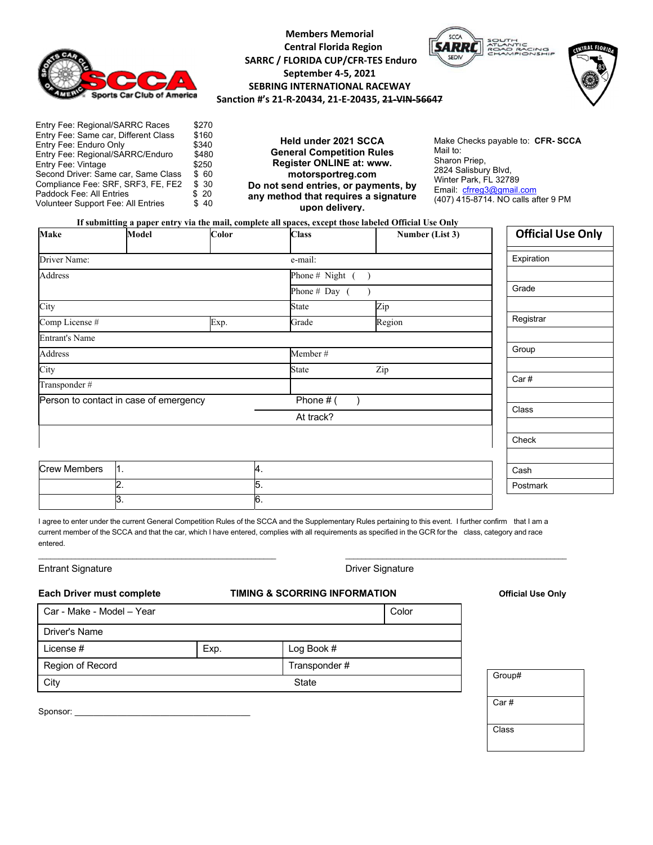

# **Members Memorial Central Florida Region SARRC / FLORIDA CUP/CFR‐TES Enduro September 4‐5, 2021 SEBRING INTERNATIONAL RACEWAY Sanction #'s 21‐R‐20434, 21‐E‐20435, 21‐VIN‐56647**





Entry Fee: Regional/SARRC Races \$270<br>Entry Fee: Same car, Different Class \$160 Entry Fee: Same car, Different Class Entry Fee: Enduro Only \$340 Entry Fee: Regional/SARRC/Enduro \$480<br>Entry Fee: Vintage \$250 Entry Fee: Vintage \$250<br>Second Driver: Same car, Same Class \$60 Second Driver: Same car, Same Class \$ 60<br>Compliance Fee: SRF, SRF3, FE, FE2 \$ 30 Compliance Fee: SRF, SRF3, FE, FE2 Paddock Fee: All Entries \$ 20<br>Volunteer Support Fee: All Entries \$ 40 Volunteer Support Fee: All Entries

**Held under 2021 SCCA General Competition Rules Register ONLINE at: www. motorsportreg.com Do not send entries, or payments, by any method that requires a signature upon delivery.** 

Make Checks payable to: **CFR- SCCA** Mail to: Sharon Priep, 2824 Salisbury Blvd, Winter Park, FL 32789 Email: cfrreg3@gmail.com (407) 415-8714. NO calls after 9 PM

**If submitting a paper entry via the mail, complete all spaces, except those labeled Official Use Only** 

| <b>Make</b>                            | <b>Model</b>     | Color        | <b>Class</b>        | Number (List 3) | <b>Official Use Only</b> |
|----------------------------------------|------------------|--------------|---------------------|-----------------|--------------------------|
| Driver Name:                           |                  |              | e-mail:             |                 | Expiration               |
| Address                                |                  |              | Phone # Night $($ ) |                 |                          |
|                                        |                  |              | Phone $#$ Day (     |                 | Grade                    |
| City                                   |                  |              | <b>State</b>        | Zip             |                          |
| Comp License #                         |                  | Exp.         | Grade               | Region          | Registrar                |
| <b>Entrant's Name</b>                  |                  |              |                     |                 |                          |
| Address<br>Member#                     |                  |              | Group               |                 |                          |
| City                                   |                  | <b>State</b> | Zip                 |                 |                          |
| Transponder#                           |                  |              |                     |                 | Car#                     |
| Person to contact in case of emergency |                  |              | Phone $#$ (         |                 |                          |
|                                        |                  |              | At track?           |                 | Class                    |
|                                        |                  |              |                     |                 | Check                    |
|                                        |                  |              |                     |                 |                          |
| <b>Crew Members</b>                    | 1.               | 4.           |                     |                 | Cash                     |
|                                        | $\overline{2}$ . | 5.           |                     |                 | Postmark                 |
|                                        | 3.               | 6.           |                     |                 |                          |

I agree to enter under the current General Competition Rules of the SCCA and the Supplementary Rules pertaining to this event. I further confirm that I am a current member of the SCCA and that the car, which I have entered, complies with all requirements as specified in the GCR for the class, category and race entered.

 $\_$  , and the set of the set of the set of the set of the set of the set of the set of the set of the set of the set of the set of the set of the set of the set of the set of the set of the set of the set of the set of th

|  | <b>Entrant Signature</b> |
|--|--------------------------|
|--|--------------------------|

**Driver Signature** 

### **Each Driver must complete TIMING & SCORRING INFORMATION Official Use Only**

| Car - Make - Model - Year |      | Color         |  |
|---------------------------|------|---------------|--|
| Driver's Name             |      |               |  |
| License #                 | Exp. | Log Book #    |  |
| Region of Record          |      | Transponder # |  |
| City                      |      | <b>State</b>  |  |
|                           |      |               |  |

Sponsor:

Group# Car # Class